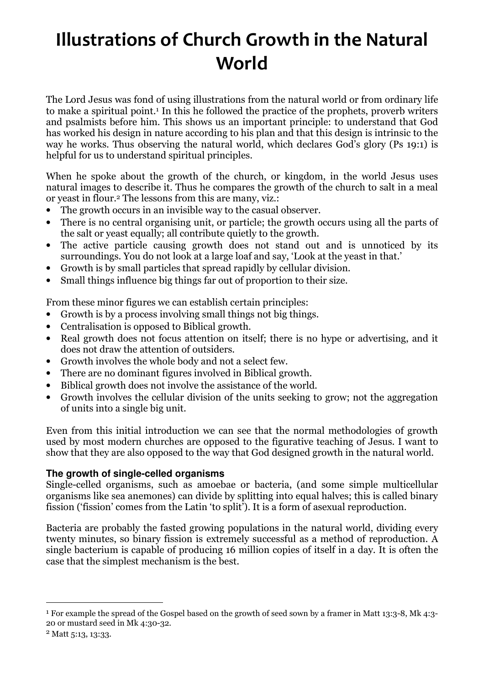# Illustrations of Church Growth in the Natural World

The Lord Jesus was fond of using illustrations from the natural world or from ordinary life to make a spiritual point.<sup>1</sup> In this he followed the practice of the prophets, proverb writers and psalmists before him. This shows us an important principle: to understand that God has worked his design in nature according to his plan and that this design is intrinsic to the way he works. Thus observing the natural world, which declares God's glory (Ps 19:1) is helpful for us to understand spiritual principles.

When he spoke about the growth of the church, or kingdom, in the world Jesus uses natural images to describe it. Thus he compares the growth of the church to salt in a meal or yeast in flour.2 The lessons from this are many, viz.:

- The growth occurs in an invisible way to the casual observer.
- There is no central organising unit, or particle; the growth occurs using all the parts of the salt or yeast equally; all contribute quietly to the growth.
- The active particle causing growth does not stand out and is unnoticed by its surroundings. You do not look at a large loaf and say, 'Look at the yeast in that.'
- Growth is by small particles that spread rapidly by cellular division.
- Small things influence big things far out of proportion to their size.

From these minor figures we can establish certain principles:

- Growth is by a process involving small things not big things.
- Centralisation is opposed to Biblical growth.
- Real growth does not focus attention on itself; there is no hype or advertising, and it does not draw the attention of outsiders.
- Growth involves the whole body and not a select few.
- There are no dominant figures involved in Biblical growth.
- Biblical growth does not involve the assistance of the world.
- Growth involves the cellular division of the units seeking to grow; not the aggregation of units into a single big unit.

Even from this initial introduction we can see that the normal methodologies of growth used by most modern churches are opposed to the figurative teaching of Jesus. I want to show that they are also opposed to the way that God designed growth in the natural world.

## **The growth of single-celled organisms**

Single-celled organisms, such as amoebae or bacteria, (and some simple multicellular organisms like sea anemones) can divide by splitting into equal halves; this is called binary fission ('fission' comes from the Latin 'to split'). It is a form of asexual reproduction.

Bacteria are probably the fasted growing populations in the natural world, dividing every twenty minutes, so binary fission is extremely successful as a method of reproduction. A single bacterium is capable of producing 16 million copies of itself in a day. It is often the case that the simplest mechanism is the best.

 $\overline{a}$ 

<sup>&</sup>lt;sup>1</sup> For example the spread of the Gospel based on the growth of seed sown by a framer in Matt 13:3-8, Mk 4:3-20 or mustard seed in Mk 4:30-32.

<sup>2</sup> Matt 5:13, 13:33.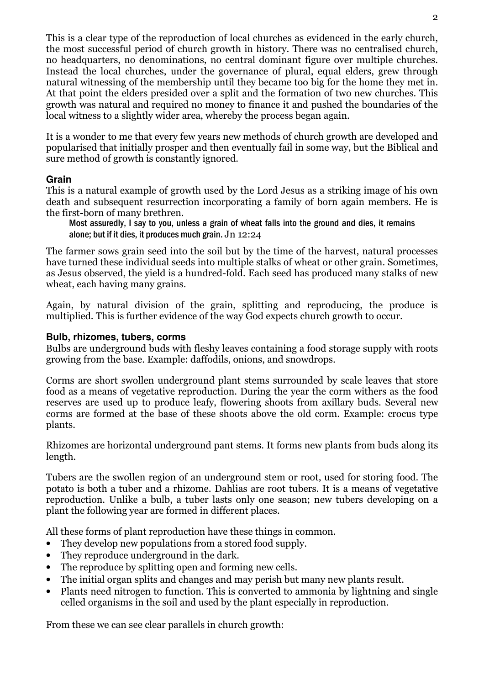This is a clear type of the reproduction of local churches as evidenced in the early church, the most successful period of church growth in history. There was no centralised church, no headquarters, no denominations, no central dominant figure over multiple churches. Instead the local churches, under the governance of plural, equal elders, grew through natural witnessing of the membership until they became too big for the home they met in. At that point the elders presided over a split and the formation of two new churches. This growth was natural and required no money to finance it and pushed the boundaries of the local witness to a slightly wider area, whereby the process began again.

It is a wonder to me that every few years new methods of church growth are developed and popularised that initially prosper and then eventually fail in some way, but the Biblical and sure method of growth is constantly ignored.

## **Grain**

This is a natural example of growth used by the Lord Jesus as a striking image of his own death and subsequent resurrection incorporating a family of born again members. He is the first-born of many brethren.

Most assuredly, I say to you, unless a grain of wheat falls into the ground and dies, it remains alone; but if it dies, it produces much grain. Jn 12:24

The farmer sows grain seed into the soil but by the time of the harvest, natural processes have turned these individual seeds into multiple stalks of wheat or other grain. Sometimes, as Jesus observed, the yield is a hundred-fold. Each seed has produced many stalks of new wheat, each having many grains.

Again, by natural division of the grain, splitting and reproducing, the produce is multiplied. This is further evidence of the way God expects church growth to occur.

## **Bulb, rhizomes, tubers, corms**

Bulbs are underground buds with fleshy leaves containing a food storage supply with roots growing from the base. Example: daffodils, onions, and snowdrops.

Corms are short swollen underground plant stems surrounded by scale leaves that store food as a means of vegetative reproduction. During the year the corm withers as the food reserves are used up to produce leafy, flowering shoots from axillary buds. Several new corms are formed at the base of these shoots above the old corm. Example: crocus type plants.

Rhizomes are horizontal underground pant stems. It forms new plants from buds along its length.

Tubers are the swollen region of an underground stem or root, used for storing food. The potato is both a tuber and a rhizome. Dahlias are root tubers. It is a means of vegetative reproduction. Unlike a bulb, a tuber lasts only one season; new tubers developing on a plant the following year are formed in different places.

All these forms of plant reproduction have these things in common.

- They develop new populations from a stored food supply.
- They reproduce underground in the dark.
- The reproduce by splitting open and forming new cells.
- The initial organ splits and changes and may perish but many new plants result.
- Plants need nitrogen to function. This is converted to ammonia by lightning and single celled organisms in the soil and used by the plant especially in reproduction.

From these we can see clear parallels in church growth: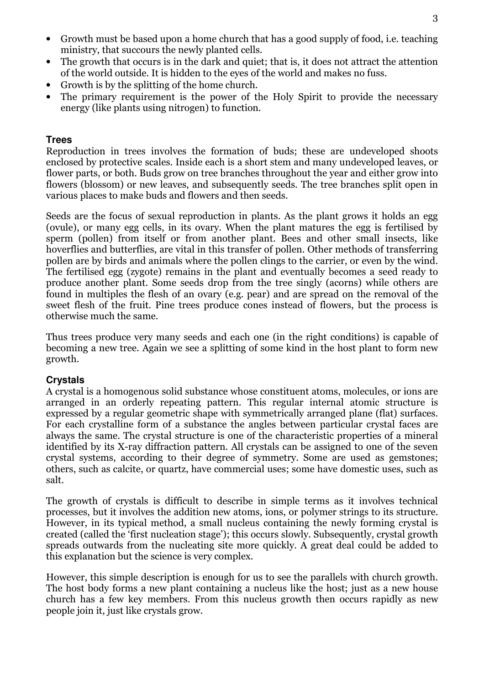- Growth must be based upon a home church that has a good supply of food, i.e. teaching ministry, that succours the newly planted cells.
- The growth that occurs is in the dark and quiet; that is, it does not attract the attention of the world outside. It is hidden to the eyes of the world and makes no fuss.
- Growth is by the splitting of the home church.
- The primary requirement is the power of the Holy Spirit to provide the necessary energy (like plants using nitrogen) to function.

## **Trees**

Reproduction in trees involves the formation of buds; these are undeveloped shoots enclosed by protective scales. Inside each is a short stem and many undeveloped leaves, or flower parts, or both. Buds grow on tree branches throughout the year and either grow into flowers (blossom) or new leaves, and subsequently seeds. The tree branches split open in various places to make buds and flowers and then seeds.

Seeds are the focus of sexual reproduction in plants. As the plant grows it holds an egg (ovule), or many egg cells, in its ovary. When the plant matures the egg is fertilised by sperm (pollen) from itself or from another plant. Bees and other small insects, like hoverflies and butterflies, are vital in this transfer of pollen. Other methods of transferring pollen are by birds and animals where the pollen clings to the carrier, or even by the wind. The fertilised egg (zygote) remains in the plant and eventually becomes a seed ready to produce another plant. Some seeds drop from the tree singly (acorns) while others are found in multiples the flesh of an ovary (e.g. pear) and are spread on the removal of the sweet flesh of the fruit. Pine trees produce cones instead of flowers, but the process is otherwise much the same.

Thus trees produce very many seeds and each one (in the right conditions) is capable of becoming a new tree. Again we see a splitting of some kind in the host plant to form new growth.

### **Crystals**

A crystal is a homogenous solid substance whose constituent atoms, molecules, or ions are arranged in an orderly repeating pattern. This regular internal atomic structure is expressed by a regular geometric shape with symmetrically arranged plane (flat) surfaces. For each crystalline form of a substance the angles between particular crystal faces are always the same. The crystal structure is one of the characteristic properties of a mineral identified by its X-ray diffraction pattern. All crystals can be assigned to one of the seven crystal systems, according to their degree of symmetry. Some are used as gemstones; others, such as calcite, or quartz, have commercial uses; some have domestic uses, such as salt.

The growth of crystals is difficult to describe in simple terms as it involves technical processes, but it involves the addition new atoms, ions, or polymer strings to its structure. However, in its typical method, a small nucleus containing the newly forming crystal is created (called the 'first nucleation stage'); this occurs slowly. Subsequently, crystal growth spreads outwards from the nucleating site more quickly. A great deal could be added to this explanation but the science is very complex.

However, this simple description is enough for us to see the parallels with church growth. The host body forms a new plant containing a nucleus like the host; just as a new house church has a few key members. From this nucleus growth then occurs rapidly as new people join it, just like crystals grow.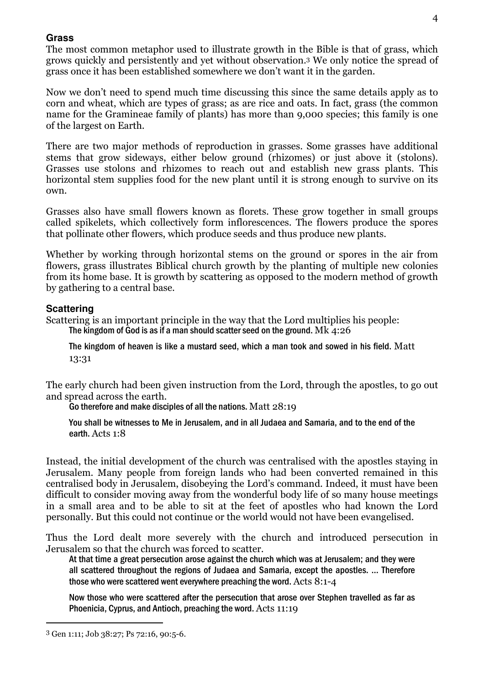#### **Grass**

The most common metaphor used to illustrate growth in the Bible is that of grass, which grows quickly and persistently and yet without observation.3 We only notice the spread of grass once it has been established somewhere we don't want it in the garden.

Now we don't need to spend much time discussing this since the same details apply as to corn and wheat, which are types of grass; as are rice and oats. In fact, grass (the common name for the Gramineae family of plants) has more than 9,000 species; this family is one of the largest on Earth.

There are two major methods of reproduction in grasses. Some grasses have additional stems that grow sideways, either below ground (rhizomes) or just above it (stolons). Grasses use stolons and rhizomes to reach out and establish new grass plants. This horizontal stem supplies food for the new plant until it is strong enough to survive on its own.

Grasses also have small flowers known as florets. These grow together in small groups called spikelets, which collectively form inflorescences. The flowers produce the spores that pollinate other flowers, which produce seeds and thus produce new plants.

Whether by working through horizontal stems on the ground or spores in the air from flowers, grass illustrates Biblical church growth by the planting of multiple new colonies from its home base. It is growth by scattering as opposed to the modern method of growth by gathering to a central base.

### **Scattering**

Scattering is an important principle in the way that the Lord multiplies his people: The kingdom of God is as if a man should scatter seed on the ground. Mk 4:26

The kingdom of heaven is like a mustard seed, which a man took and sowed in his field. Matt 13:31

The early church had been given instruction from the Lord, through the apostles, to go out and spread across the earth.

Go therefore and make disciples of all the nations. Matt 28:19

You shall be witnesses to Me in Jerusalem, and in all Judaea and Samaria, and to the end of the earth. Acts 1:8

Instead, the initial development of the church was centralised with the apostles staying in Jerusalem. Many people from foreign lands who had been converted remained in this centralised body in Jerusalem, disobeying the Lord's command. Indeed, it must have been difficult to consider moving away from the wonderful body life of so many house meetings in a small area and to be able to sit at the feet of apostles who had known the Lord personally. But this could not continue or the world would not have been evangelised.

Thus the Lord dealt more severely with the church and introduced persecution in Jerusalem so that the church was forced to scatter.

At that time a great persecution arose against the church which was at Jerusalem; and they were all scattered throughout the regions of Judaea and Samaria, except the apostles. … Therefore those who were scattered went everywhere preaching the word. Acts 8:1-4

Now those who were scattered after the persecution that arose over Stephen travelled as far as Phoenicia, Cyprus, and Antioch, preaching the word. Acts 11:19

4

 $\overline{a}$ 

<sup>3</sup> Gen 1:11; Job 38:27; Ps 72:16, 90:5-6.